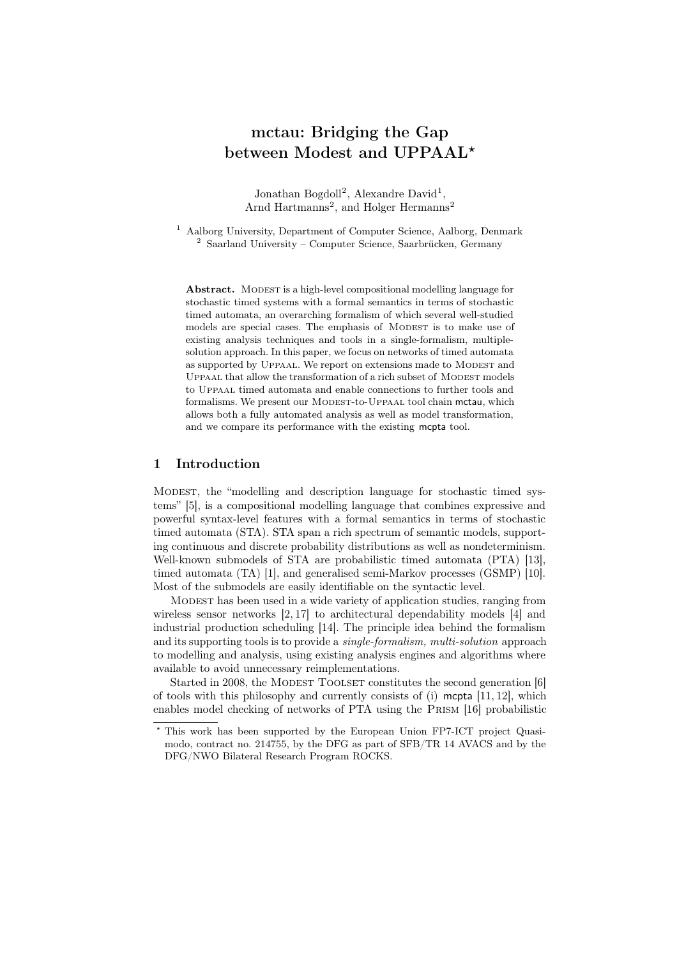# mctau: Bridging the Gap between Modest and UPPAAL<sup>\*</sup>

Jonathan Bogdoll<sup>2</sup>, Alexandre David<sup>1</sup>, Arnd Hartmanns<sup>2</sup>, and Holger Hermanns<sup>2</sup>

<sup>1</sup> Aalborg University, Department of Computer Science, Aalborg, Denmark <sup>2</sup> Saarland University – Computer Science, Saarbrücken, Germany

Abstract. MODEST is a high-level compositional modelling language for stochastic timed systems with a formal semantics in terms of stochastic timed automata, an overarching formalism of which several well-studied models are special cases. The emphasis of MODEST is to make use of existing analysis techniques and tools in a single-formalism, multiplesolution approach. In this paper, we focus on networks of timed automata as supported by UPPAAL. We report on extensions made to MODEST and UPPAAL that allow the transformation of a rich subset of MODEST models to Uppaal timed automata and enable connections to further tools and formalisms. We present our MODEST-to-UPPAAL tool chain mctau, which allows both a fully automated analysis as well as model transformation, and we compare its performance with the existing mcpta tool.

## 1 Introduction

Modest, the "modelling and description language for stochastic timed systems" [5], is a compositional modelling language that combines expressive and powerful syntax-level features with a formal semantics in terms of stochastic timed automata (STA). STA span a rich spectrum of semantic models, supporting continuous and discrete probability distributions as well as nondeterminism. Well-known submodels of STA are probabilistic timed automata (PTA) [13], timed automata (TA) [1], and generalised semi-Markov processes (GSMP) [10]. Most of the submodels are easily identifiable on the syntactic level.

Modest has been used in a wide variety of application studies, ranging from wireless sensor networks [2, 17] to architectural dependability models [4] and industrial production scheduling [14]. The principle idea behind the formalism and its supporting tools is to provide a single-formalism, multi-solution approach to modelling and analysis, using existing analysis engines and algorithms where available to avoid unnecessary reimplementations.

Started in 2008, the MODEST TOOLSET constitutes the second generation [6] of tools with this philosophy and currently consists of  $(i)$  mepta [11, 12], which enables model checking of networks of PTA using the Prism [16] probabilistic

<sup>?</sup> This work has been supported by the European Union FP7-ICT project Quasimodo, contract no. 214755, by the DFG as part of SFB/TR 14 AVACS and by the DFG/NWO Bilateral Research Program ROCKS.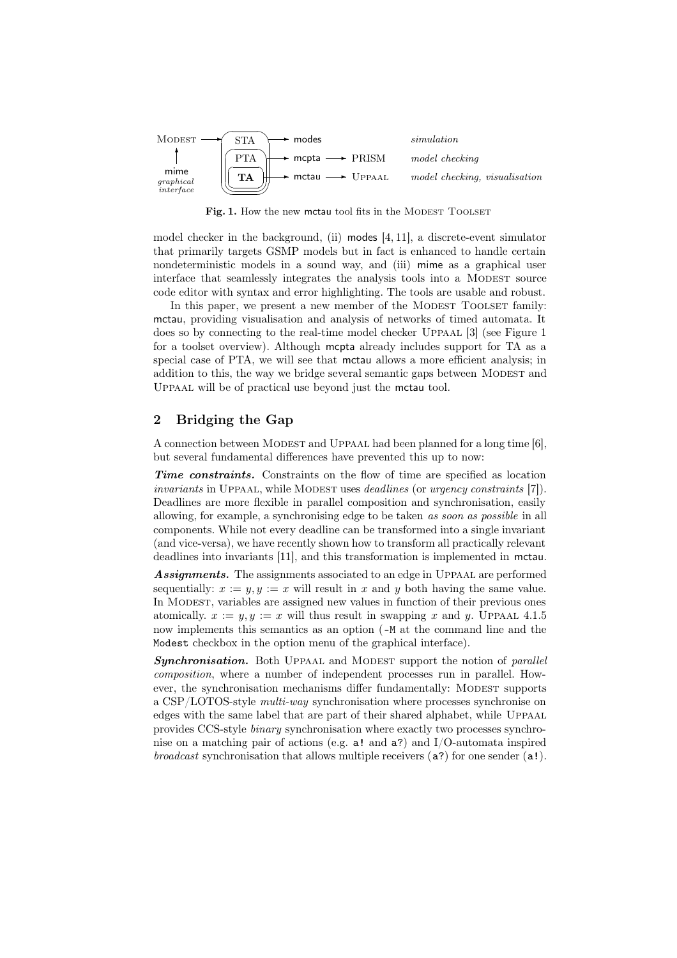

Fig. 1. How the new mctau tool fits in the MODEST TOOLSET

model checker in the background, (ii) modes [4, 11], a discrete-event simulator that primarily targets GSMP models but in fact is enhanced to handle certain nondeterministic models in a sound way, and (iii) mime as a graphical user interface that seamlessly integrates the analysis tools into a MODEST source code editor with syntax and error highlighting. The tools are usable and robust.

In this paper, we present a new member of the MODEST TOOLSET family: mctau, providing visualisation and analysis of networks of timed automata. It does so by connecting to the real-time model checker Uppaal [3] (see Figure 1 for a toolset overview). Although mcpta already includes support for TA as a special case of PTA, we will see that mctau allows a more efficient analysis; in addition to this, the way we bridge several semantic gaps between MODEST and Uppaal will be of practical use beyond just the mctau tool.

# 2 Bridging the Gap

A connection between MODEST and UPPAAL had been planned for a long time [6]. but several fundamental differences have prevented this up to now:

Time constraints. Constraints on the flow of time are specified as location invariants in UPPAAL, while MODEST uses *deadlines* (or *urgency constraints* [7]). Deadlines are more flexible in parallel composition and synchronisation, easily allowing, for example, a synchronising edge to be taken as soon as possible in all components. While not every deadline can be transformed into a single invariant (and vice-versa), we have recently shown how to transform all practically relevant deadlines into invariants [11], and this transformation is implemented in mctau.

Assignments. The assignments associated to an edge in UPPAAL are performed sequentially:  $x := y, y := x$  will result in x and y both having the same value. In MODEST, variables are assigned new values in function of their previous ones atomically.  $x := y, y := x$  will thus result in swapping x and y. UPPAAL 4.1.5 now implements this semantics as an option (-M at the command line and the Modest checkbox in the option menu of the graphical interface).

**Synchronisation.** Both UPPAAL and MODEST support the notion of *parallel* composition, where a number of independent processes run in parallel. However, the synchronisation mechanisms differ fundamentally: MODEST supports a CSP/LOTOS-style multi-way synchronisation where processes synchronise on edges with the same label that are part of their shared alphabet, while UPPAAL provides CCS-style binary synchronisation where exactly two processes synchronise on a matching pair of actions (e.g.  $a!$  and  $a?$ ) and I/O-automata inspired *broadcast* synchronisation that allows multiple receivers  $(a?)$  for one sender  $(a!)$ .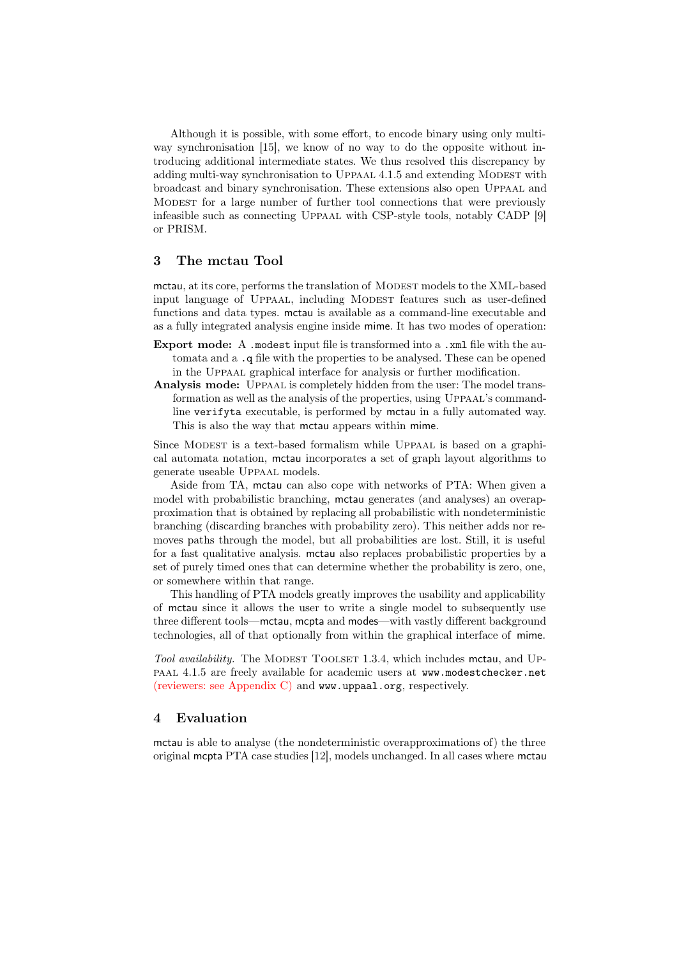Although it is possible, with some effort, to encode binary using only multiway synchronisation [15], we know of no way to do the opposite without introducing additional intermediate states. We thus resolved this discrepancy by adding multi-way synchronisation to UPPAAL 4.1.5 and extending MODEST with broadcast and binary synchronisation. These extensions also open Uppaal and Modest for a large number of further tool connections that were previously infeasible such as connecting Uppaal with CSP-style tools, notably CADP [9] or PRISM.

## 3 The mctau Tool

mctau, at its core, performs the translation of MODEST models to the XML-based input language of Uppaal, including Modest features such as user-defined functions and data types. mctau is available as a command-line executable and as a fully integrated analysis engine inside mime. It has two modes of operation:

- Export mode: A .modest input file is transformed into a .xml file with the automata and a .q file with the properties to be analysed. These can be opened in the Uppaal graphical interface for analysis or further modification.
- Analysis mode: UPPAAL is completely hidden from the user: The model transformation as well as the analysis of the properties, using UPPAAL's commandline verifyta executable, is performed by mctau in a fully automated way. This is also the way that mctau appears within mime.

Since MODEST is a text-based formalism while UPPAAL is based on a graphical automata notation, mctau incorporates a set of graph layout algorithms to generate useable Uppaal models.

Aside from TA, mctau can also cope with networks of PTA: When given a model with probabilistic branching, mctau generates (and analyses) an overapproximation that is obtained by replacing all probabilistic with nondeterministic branching (discarding branches with probability zero). This neither adds nor removes paths through the model, but all probabilities are lost. Still, it is useful for a fast qualitative analysis. mctau also replaces probabilistic properties by a set of purely timed ones that can determine whether the probability is zero, one, or somewhere within that range.

This handling of PTA models greatly improves the usability and applicability of mctau since it allows the user to write a single model to subsequently use three different tools—mctau, mcpta and modes—with vastly different background technologies, all of that optionally from within the graphical interface of mime.

Tool availability. The MODEST TOOLSET 1.3.4, which includes mctau, and UPpaal 4.1.5 are freely available for academic users at www.modestchecker.net (reviewers: see Appendix C) and www.uppaal.org, respectively.

#### 4 Evaluation

mctau is able to analyse (the nondeterministic overapproximations of) the three original mcpta PTA case studies [12], models unchanged. In all cases where mctau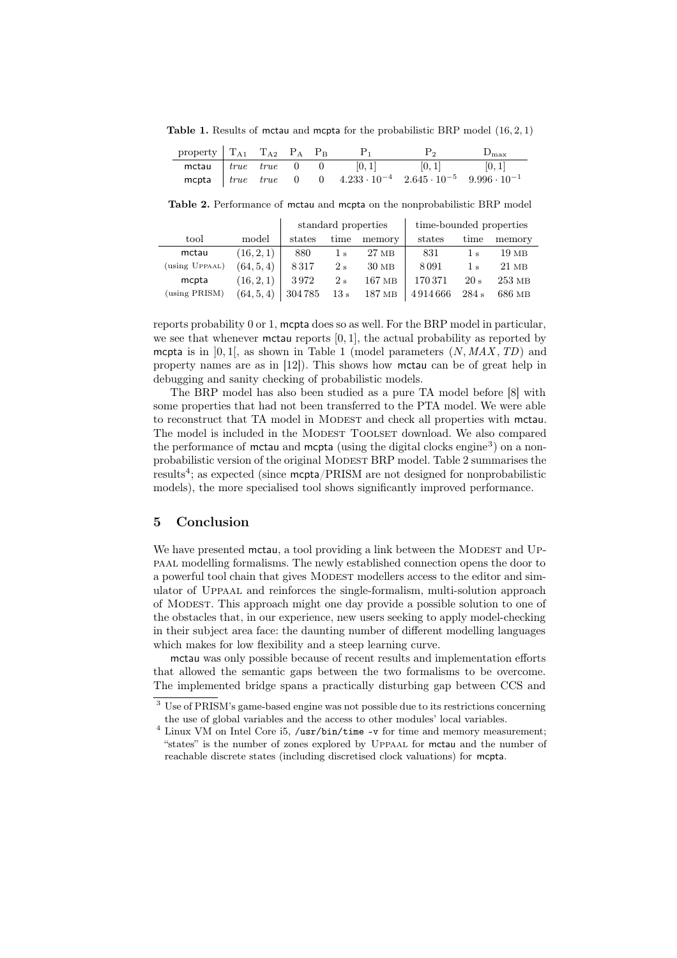Table 1. Results of mctau and mcpta for the probabilistic BRP model  $(16, 2, 1)$ 

| property $T_{A1}$ $T_{A2}$ $P_A$ $P_B$ |  |  | $P_1$                                                                                        | $P_2$ | $D_{\rm max}$ |
|----------------------------------------|--|--|----------------------------------------------------------------------------------------------|-------|---------------|
|                                        |  |  | <b>mctau</b> $true$ <i>true</i> 0 0 $[0,1]$ $[0,1]$ $[0,1]$                                  |       |               |
|                                        |  |  | mcpta $\int true$ true 0 0 4.233 $\cdot 10^{-4}$ 2.645 $\cdot 10^{-5}$ 9.996 $\cdot 10^{-1}$ |       |               |

Table 2. Performance of mctau and mcpta on the nonprobabilistic BRP model

|                |            | standard properties |                |                   | time-bounded properties              |                   |          |
|----------------|------------|---------------------|----------------|-------------------|--------------------------------------|-------------------|----------|
| tool           | model      | states              | time           | memory            | states                               | time              | memory   |
| mctau          | (16, 2, 1) | 880                 | 1 <sub>s</sub> | 27 <sub>MB</sub>  | 831                                  | $\frac{1}{s}$     | 19MB     |
| (using UPPAAL) | (64, 5, 4) | 8317                | 2s             | $30\;\mathrm{MB}$ | 8091                                 | 1 <sub>s</sub>    | $21$ MB  |
| mcpta          | (16, 2, 1) | 3972                | 2s             | 167 MB            | 170 371                              | 20 s              | $253$ MB |
| (using PRISM)  | (64, 5, 4) |                     |                |                   | $304785$ 13 s 187 MB $\vert$ 4914666 | $284 \mathrm{~s}$ | 686 MB   |

reports probability 0 or 1, mcpta does so as well. For the BRP model in particular, we see that whenever mctau reports  $[0, 1]$ , the actual probability as reported by mcpta is in  $[0, 1]$ , as shown in Table 1 (model parameters  $(N, MAX, TD)$ ) and property names are as in [12]). This shows how mctau can be of great help in debugging and sanity checking of probabilistic models.

The BRP model has also been studied as a pure TA model before [8] with some properties that had not been transferred to the PTA model. We were able to reconstruct that TA model in MODEST and check all properties with mctau. The model is included in the MODEST TOOLSET download. We also compared the performance of mctau and mcpta (using the digital clocks engine<sup>3</sup>) on a nonprobabilistic version of the original Modest BRP model. Table 2 summarises the results4; as expected (since mcpta/PRISM are not designed for nonprobabilistic models), the more specialised tool shows significantly improved performance.

## 5 Conclusion

We have presented mctau, a tool providing a link between the MODEST and UPpaal modelling formalisms. The newly established connection opens the door to a powerful tool chain that gives MODEST modellers access to the editor and simulator of Uppaal and reinforces the single-formalism, multi-solution approach of Modest. This approach might one day provide a possible solution to one of the obstacles that, in our experience, new users seeking to apply model-checking in their subject area face: the daunting number of different modelling languages which makes for low flexibility and a steep learning curve.

mctau was only possible because of recent results and implementation efforts that allowed the semantic gaps between the two formalisms to be overcome. The implemented bridge spans a practically disturbing gap between CCS and

<sup>3</sup> Use of PRISM's game-based engine was not possible due to its restrictions concerning the use of global variables and the access to other modules' local variables.

<sup>&</sup>lt;sup>4</sup> Linux VM on Intel Core i5, /usr/bin/time -v for time and memory measurement; "states" is the number of zones explored by Uppaal for mctau and the number of reachable discrete states (including discretised clock valuations) for mcpta.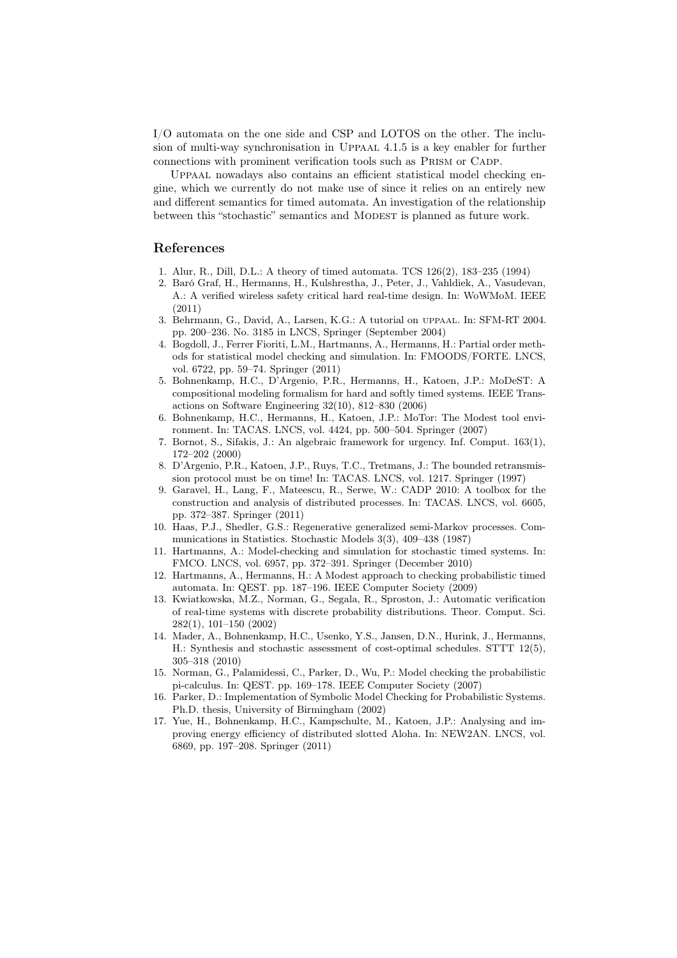I/O automata on the one side and CSP and LOTOS on the other. The inclusion of multi-way synchronisation in Uppaal 4.1.5 is a key enabler for further connections with prominent verification tools such as Prism or Cadp.

Uppaal nowadays also contains an efficient statistical model checking engine, which we currently do not make use of since it relies on an entirely new and different semantics for timed automata. An investigation of the relationship between this "stochastic" semantics and MODEST is planned as future work.

#### References

- 1. Alur, R., Dill, D.L.: A theory of timed automata. TCS 126(2), 183–235 (1994)
- 2. Baró Graf, H., Hermanns, H., Kulshrestha, J., Peter, J., Vahldiek, A., Vasudevan, A.: A verified wireless safety critical hard real-time design. In: WoWMoM. IEEE (2011)
- 3. Behrmann, G., David, A., Larsen, K.G.: A tutorial on uppaal. In: SFM-RT 2004. pp. 200–236. No. 3185 in LNCS, Springer (September 2004)
- 4. Bogdoll, J., Ferrer Fioriti, L.M., Hartmanns, A., Hermanns, H.: Partial order methods for statistical model checking and simulation. In: FMOODS/FORTE. LNCS, vol. 6722, pp. 59–74. Springer (2011)
- 5. Bohnenkamp, H.C., D'Argenio, P.R., Hermanns, H., Katoen, J.P.: MoDeST: A compositional modeling formalism for hard and softly timed systems. IEEE Transactions on Software Engineering 32(10), 812–830 (2006)
- 6. Bohnenkamp, H.C., Hermanns, H., Katoen, J.P.: MoTor: The Modest tool environment. In: TACAS. LNCS, vol. 4424, pp. 500–504. Springer (2007)
- 7. Bornot, S., Sifakis, J.: An algebraic framework for urgency. Inf. Comput. 163(1), 172–202 (2000)
- 8. D'Argenio, P.R., Katoen, J.P., Ruys, T.C., Tretmans, J.: The bounded retransmission protocol must be on time! In: TACAS. LNCS, vol. 1217. Springer (1997)
- 9. Garavel, H., Lang, F., Mateescu, R., Serwe, W.: CADP 2010: A toolbox for the construction and analysis of distributed processes. In: TACAS. LNCS, vol. 6605, pp. 372–387. Springer (2011)
- 10. Haas, P.J., Shedler, G.S.: Regenerative generalized semi-Markov processes. Communications in Statistics. Stochastic Models 3(3), 409–438 (1987)
- 11. Hartmanns, A.: Model-checking and simulation for stochastic timed systems. In: FMCO. LNCS, vol. 6957, pp. 372–391. Springer (December 2010)
- 12. Hartmanns, A., Hermanns, H.: A Modest approach to checking probabilistic timed automata. In: QEST. pp. 187–196. IEEE Computer Society (2009)
- 13. Kwiatkowska, M.Z., Norman, G., Segala, R., Sproston, J.: Automatic verification of real-time systems with discrete probability distributions. Theor. Comput. Sci. 282(1), 101–150 (2002)
- 14. Mader, A., Bohnenkamp, H.C., Usenko, Y.S., Jansen, D.N., Hurink, J., Hermanns, H.: Synthesis and stochastic assessment of cost-optimal schedules. STTT 12(5), 305–318 (2010)
- 15. Norman, G., Palamidessi, C., Parker, D., Wu, P.: Model checking the probabilistic pi-calculus. In: QEST. pp. 169–178. IEEE Computer Society (2007)
- 16. Parker, D.: Implementation of Symbolic Model Checking for Probabilistic Systems. Ph.D. thesis, University of Birmingham (2002)
- 17. Yue, H., Bohnenkamp, H.C., Kampschulte, M., Katoen, J.P.: Analysing and improving energy efficiency of distributed slotted Aloha. In: NEW2AN. LNCS, vol. 6869, pp. 197–208. Springer (2011)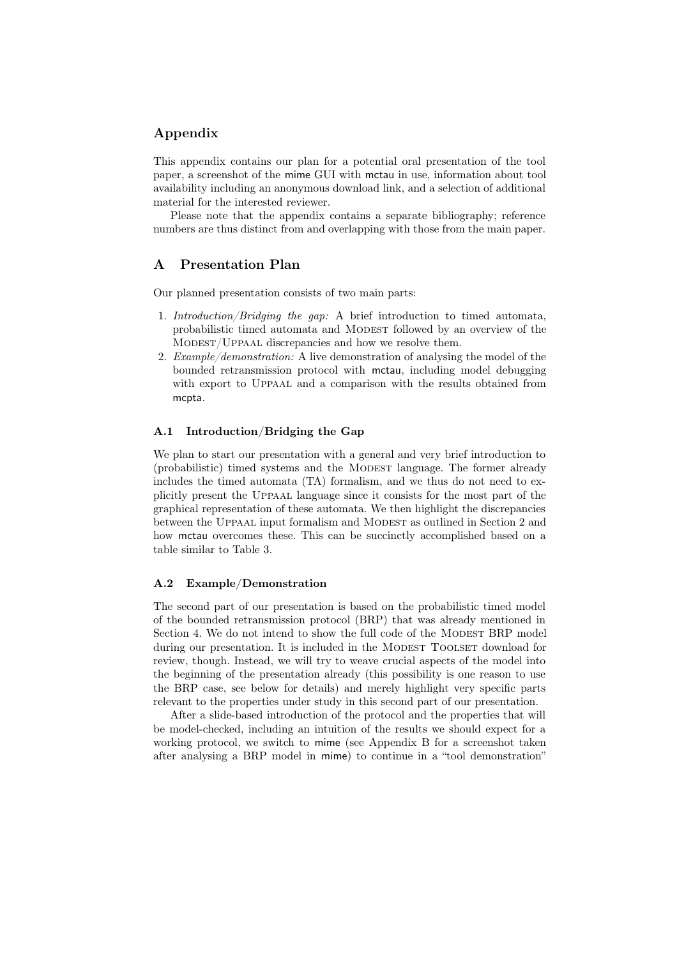# Appendix

This appendix contains our plan for a potential oral presentation of the tool paper, a screenshot of the mime GUI with mctau in use, information about tool availability including an anonymous download link, and a selection of additional material for the interested reviewer.

Please note that the appendix contains a separate bibliography; reference numbers are thus distinct from and overlapping with those from the main paper.

## A Presentation Plan

Our planned presentation consists of two main parts:

- 1. Introduction/Bridging the gap: A brief introduction to timed automata, probabilistic timed automata and MODEST followed by an overview of the Modest/Uppaal discrepancies and how we resolve them.
- 2. Example/demonstration: A live demonstration of analysing the model of the bounded retransmission protocol with mctau, including model debugging with export to UPPAAL and a comparison with the results obtained from mcpta.

# A.1 Introduction/Bridging the Gap

We plan to start our presentation with a general and very brief introduction to (probabilistic) timed systems and the MODEST language. The former already includes the timed automata (TA) formalism, and we thus do not need to explicitly present the Uppaal language since it consists for the most part of the graphical representation of these automata. We then highlight the discrepancies between the UPPAAL input formalism and MODEST as outlined in Section 2 and how mctau overcomes these. This can be succinctly accomplished based on a table similar to Table 3.

#### A.2 Example/Demonstration

The second part of our presentation is based on the probabilistic timed model of the bounded retransmission protocol (BRP) that was already mentioned in Section 4. We do not intend to show the full code of the MODEST BRP model during our presentation. It is included in the MODEST TOOLSET download for review, though. Instead, we will try to weave crucial aspects of the model into the beginning of the presentation already (this possibility is one reason to use the BRP case, see below for details) and merely highlight very specific parts relevant to the properties under study in this second part of our presentation.

After a slide-based introduction of the protocol and the properties that will be model-checked, including an intuition of the results we should expect for a working protocol, we switch to mime (see Appendix B for a screenshot taken after analysing a BRP model in mime) to continue in a "tool demonstration"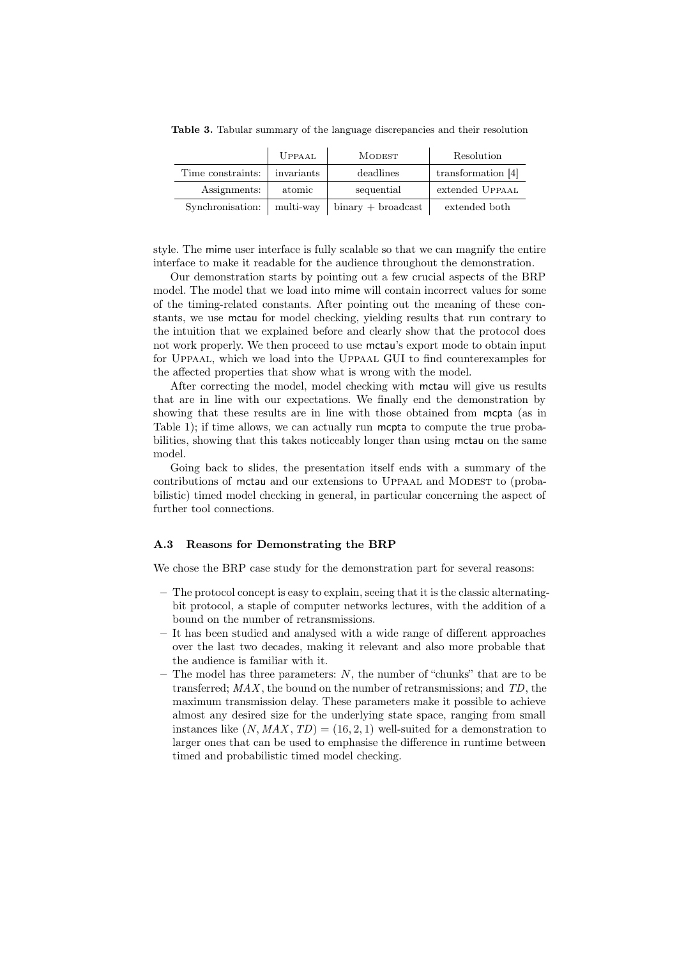|                   | <b>UPPAAL</b> | <b>MODEST</b>        | Resolution         |
|-------------------|---------------|----------------------|--------------------|
| Time constraints: | invariants    | deadlines            | transformation [4] |
| Assignments:      | atomic        | sequential           | extended UPPAAL    |
| Synchronisation:  | multi-way     | $binary + broadcast$ | extended both      |

Table 3. Tabular summary of the language discrepancies and their resolution

style. The mime user interface is fully scalable so that we can magnify the entire interface to make it readable for the audience throughout the demonstration.

Our demonstration starts by pointing out a few crucial aspects of the BRP model. The model that we load into mime will contain incorrect values for some of the timing-related constants. After pointing out the meaning of these constants, we use mctau for model checking, yielding results that run contrary to the intuition that we explained before and clearly show that the protocol does not work properly. We then proceed to use mctau's export mode to obtain input for Uppaal, which we load into the Uppaal GUI to find counterexamples for the affected properties that show what is wrong with the model.

After correcting the model, model checking with mctau will give us results that are in line with our expectations. We finally end the demonstration by showing that these results are in line with those obtained from mcpta (as in Table 1); if time allows, we can actually run mcpta to compute the true probabilities, showing that this takes noticeably longer than using mctau on the same model.

Going back to slides, the presentation itself ends with a summary of the contributions of mctau and our extensions to UPPAAL and MODEST to (probabilistic) timed model checking in general, in particular concerning the aspect of further tool connections.

### A.3 Reasons for Demonstrating the BRP

We chose the BRP case study for the demonstration part for several reasons:

- The protocol concept is easy to explain, seeing that it is the classic alternatingbit protocol, a staple of computer networks lectures, with the addition of a bound on the number of retransmissions.
- It has been studied and analysed with a wide range of different approaches over the last two decades, making it relevant and also more probable that the audience is familiar with it.
- The model has three parameters:  $N$ , the number of "chunks" that are to be transferred;  $MAX$ , the bound on the number of retransmissions; and  $TD$ , the maximum transmission delay. These parameters make it possible to achieve almost any desired size for the underlying state space, ranging from small instances like  $(N, MAX, TD) = (16, 2, 1)$  well-suited for a demonstration to larger ones that can be used to emphasise the difference in runtime between timed and probabilistic timed model checking.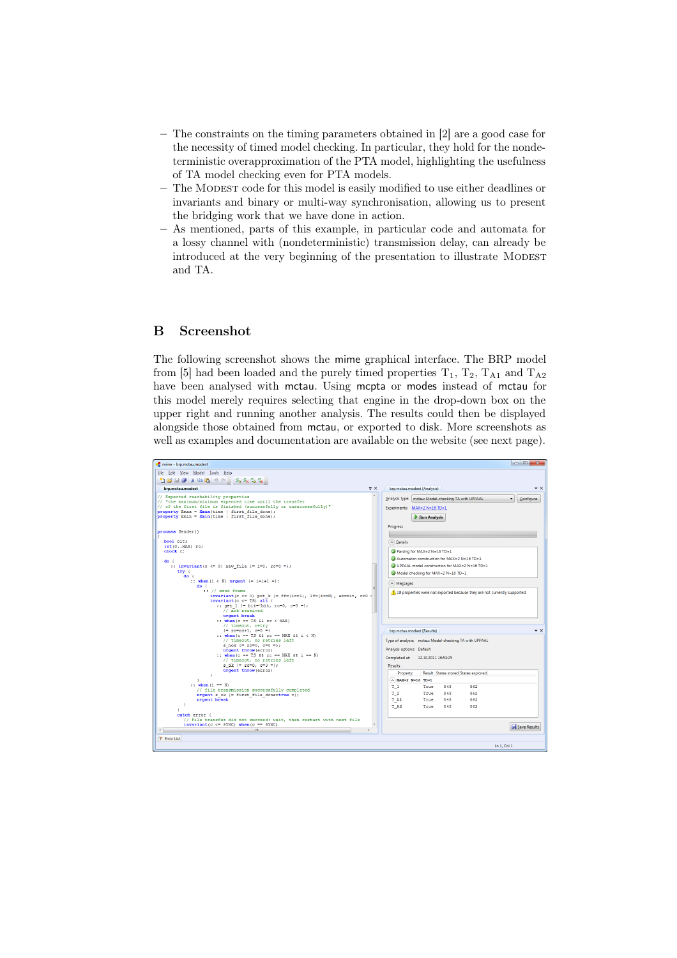- The constraints on the timing parameters obtained in [2] are a good case for the necessity of timed model checking. In particular, they hold for the nondeterministic overapproximation of the PTA model, highlighting the usefulness of TA model checking even for PTA models.
- The Modest code for this model is easily modified to use either deadlines or invariants and binary or multi-way synchronisation, allowing us to present the bridging work that we have done in action.
- As mentioned, parts of this example, in particular code and automata for a lossy channel with (nondeterministic) transmission delay, can already be introduced at the very beginning of the presentation to illustrate MODEST and TA.

# B Screenshot

The following screenshot shows the mime graphical interface. The BRP model from [5] had been loaded and the purely timed properties  $T_1$ ,  $T_2$ ,  $T_{A1}$  and  $T_{A2}$ have been analysed with mctau. Using mcpta or modes instead of mctau for this model merely requires selecting that engine in the drop-down box on the upper right and running another analysis. The results could then be displayed alongside those obtained from mctau, or exported to disk. More screenshots as well as examples and documentation are available on the website (see next page).

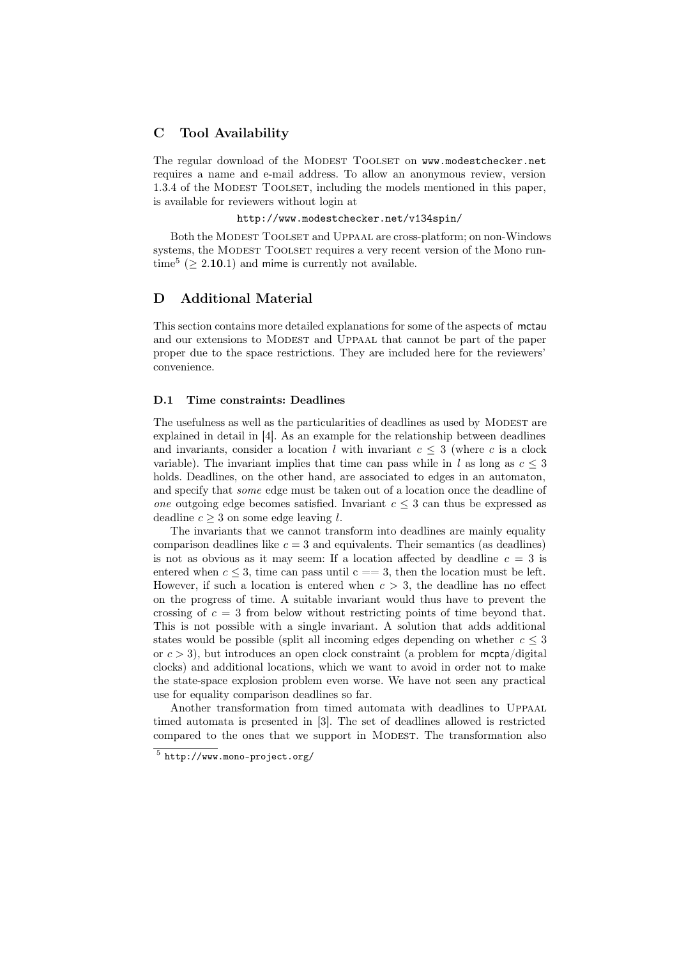# C Tool Availability

The regular download of the MODEST TOOLSET on www.modestchecker.net requires a name and e-mail address. To allow an anonymous review, version 1.3.4 of the MODEST TOOLSET, including the models mentioned in this paper, is available for reviewers without login at

#### http://www.modestchecker.net/v134spin/

Both the MODEST TOOLSET and UPPAAL are cross-platform; on non-Windows systems, the MODEST TOOLSET requires a very recent version of the Mono runtime<sup>5</sup> ( $\geq$  2.10.1) and mime is currently not available.

# D Additional Material

This section contains more detailed explanations for some of the aspects of mctau and our extensions to MODEST and UPPAAL that cannot be part of the paper proper due to the space restrictions. They are included here for the reviewers' convenience.

#### D.1 Time constraints: Deadlines

The usefulness as well as the particularities of deadlines as used by MODEST are explained in detail in [4]. As an example for the relationship between deadlines and invariants, consider a location l with invariant  $c \leq 3$  (where c is a clock variable). The invariant implies that time can pass while in l as long as  $c \leq 3$ holds. Deadlines, on the other hand, are associated to edges in an automaton, and specify that some edge must be taken out of a location once the deadline of one outgoing edge becomes satisfied. Invariant  $c \leq 3$  can thus be expressed as deadline  $c > 3$  on some edge leaving l.

The invariants that we cannot transform into deadlines are mainly equality comparison deadlines like  $c = 3$  and equivalents. Their semantics (as deadlines) is not as obvious as it may seem: If a location affected by deadline  $c = 3$  is entered when  $c \leq 3$ , time can pass until  $c == 3$ , then the location must be left. However, if such a location is entered when  $c > 3$ , the deadline has no effect on the progress of time. A suitable invariant would thus have to prevent the crossing of  $c = 3$  from below without restricting points of time beyond that. This is not possible with a single invariant. A solution that adds additional states would be possible (split all incoming edges depending on whether  $c \leq 3$ or  $c > 3$ ), but introduces an open clock constraint (a problem for mepta/digital clocks) and additional locations, which we want to avoid in order not to make the state-space explosion problem even worse. We have not seen any practical use for equality comparison deadlines so far.

Another transformation from timed automata with deadlines to Uppaal timed automata is presented in [3]. The set of deadlines allowed is restricted compared to the ones that we support in MODEST. The transformation also

<sup>5</sup> http://www.mono-project.org/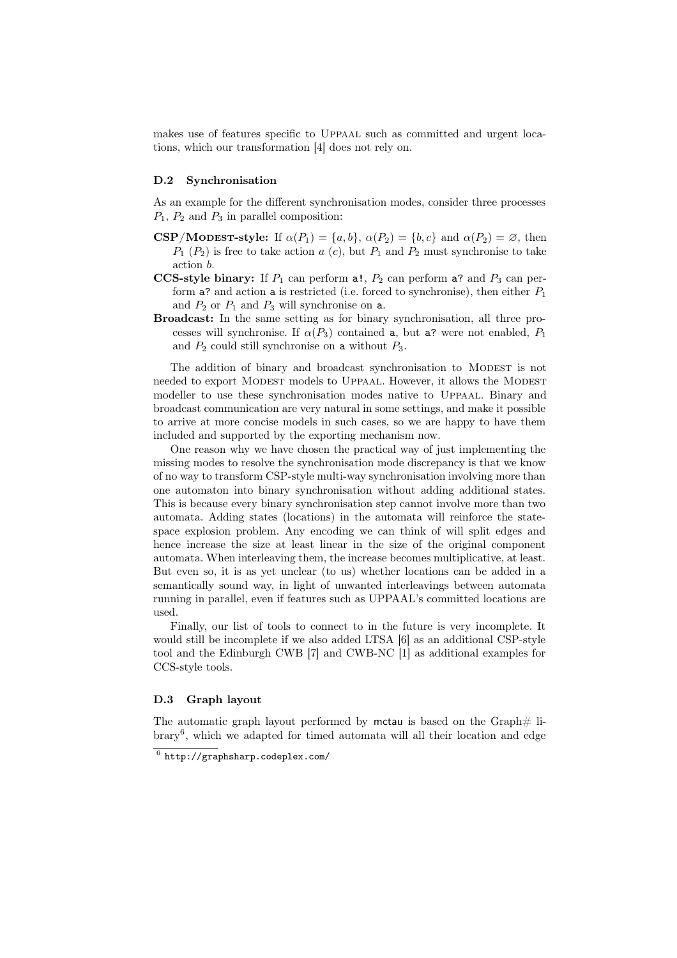makes use of features specific to Uppaal such as committed and urgent locations, which our transformation [4] does not rely on.

#### D.2 Synchronisation

As an example for the different synchronisation modes, consider three processes  $P_1$ ,  $P_2$  and  $P_3$  in parallel composition:

- **CSP/MODEST-style:** If  $\alpha(P_1) = \{a, b\}$ ,  $\alpha(P_2) = \{b, c\}$  and  $\alpha(P_2) = \emptyset$ , then  $P_1$  ( $P_2$ ) is free to take action a (c), but  $P_1$  and  $P_2$  must synchronise to take action b.
- CCS-style binary: If  $P_1$  can perform a!,  $P_2$  can perform a? and  $P_3$  can perform a? and action a is restricted (i.e. forced to synchronise), then either  $P_1$ and  $P_2$  or  $P_1$  and  $P_3$  will synchronise on a.
- Broadcast: In the same setting as for binary synchronisation, all three processes will synchronise. If  $\alpha(P_3)$  contained a, but a? were not enabled,  $P_1$ and  $P_2$  could still synchronise on a without  $P_3$ .

The addition of binary and broadcast synchronisation to MODEST is not needed to export MODEST models to UPPAAL. However, it allows the MODEST modeller to use these synchronisation modes native to Uppaal. Binary and broadcast communication are very natural in some settings, and make it possible to arrive at more concise models in such cases, so we are happy to have them included and supported by the exporting mechanism now.

One reason why we have chosen the practical way of just implementing the missing modes to resolve the synchronisation mode discrepancy is that we know of no way to transform CSP-style multi-way synchronisation involving more than one automaton into binary synchronisation without adding additional states. This is because every binary synchronisation step cannot involve more than two automata. Adding states (locations) in the automata will reinforce the statespace explosion problem. Any encoding we can think of will split edges and hence increase the size at least linear in the size of the original component automata. When interleaving them, the increase becomes multiplicative, at least. But even so, it is as yet unclear (to us) whether locations can be added in a semantically sound way, in light of unwanted interleavings between automata running in parallel, even if features such as UPPAAL's committed locations are used.

Finally, our list of tools to connect to in the future is very incomplete. It would still be incomplete if we also added LTSA [6] as an additional CSP-style tool and the Edinburgh CWB [7] and CWB-NC [1] as additional examples for CCS-style tools.

### D.3 Graph layout

The automatic graph layout performed by mctau is based on the Graph $\#$  li- $\text{brary}^6$ , which we adapted for timed automata will all their location and edge

 $6$  http://graphsharp.codeplex.com/